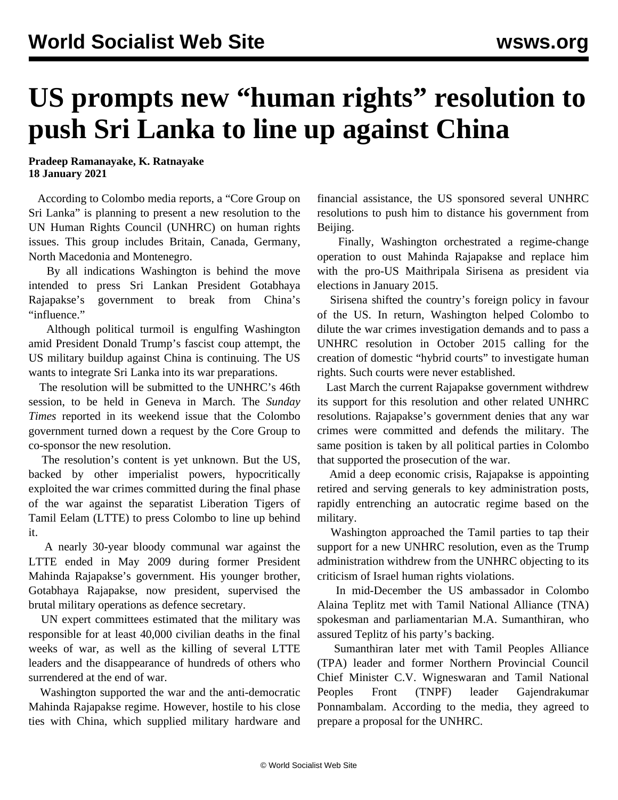## **US prompts new "human rights" resolution to push Sri Lanka to line up against China**

**Pradeep Ramanayake, K. Ratnayake 18 January 2021**

 According to Colombo media reports, a "Core Group on Sri Lanka" is planning to present a new resolution to the UN Human Rights Council (UNHRC) on human rights issues. This group includes Britain, Canada, Germany, North Macedonia and Montenegro.

 By all indications Washington is behind the move intended to press Sri Lankan President Gotabhaya Rajapakse's government to break from China's "influence."

 Although political turmoil is engulfing Washington amid President Donald Trump's fascist coup attempt, the US military buildup against China is continuing. The US wants to integrate Sri Lanka into its war preparations.

 The resolution will be submitted to the UNHRC's 46th session, to be held in Geneva in March. The *Sunday Times* reported in its weekend issue that the Colombo government turned down a request by the Core Group to co-sponsor the new resolution.

 The resolution's content is yet unknown. But the US, backed by other imperialist powers, hypocritically exploited the war crimes committed during the final phase of the war against the separatist Liberation Tigers of Tamil Eelam (LTTE) to press Colombo to line up behind it.

 A nearly 30-year bloody communal war against the LTTE ended in May 2009 during former President Mahinda Rajapakse's government. His younger brother, Gotabhaya Rajapakse, now president, supervised the brutal military operations as defence secretary.

 UN expert committees estimated that the military was responsible for at least 40,000 civilian deaths in the final weeks of war, as well as the killing of several LTTE leaders and the disappearance of hundreds of others who surrendered at the end of war.

 Washington supported the war and the anti-democratic Mahinda Rajapakse regime. However, hostile to his close ties with China, which supplied military hardware and

financial assistance, the US sponsored several UNHRC resolutions to push him to distance his government from Beijing.

 Finally, Washington orchestrated a regime-change operation to oust Mahinda Rajapakse and replace him with the pro-US Maithripala Sirisena as president via elections in January 2015.

 Sirisena shifted the country's foreign policy in favour of the US. In return, Washington helped Colombo to dilute the war crimes investigation demands and to pass a UNHRC resolution in October 2015 calling for the creation of domestic "hybrid courts" to investigate human rights. Such courts were never established.

 Last March the current Rajapakse government withdrew its support for this resolution and other related UNHRC resolutions. Rajapakse's government denies that any war crimes were committed and defends the military. The same position is taken by all political parties in Colombo that supported the prosecution of the war.

 Amid a deep economic crisis, Rajapakse is appointing retired and serving generals to key administration posts, rapidly entrenching an autocratic regime based on the military.

 Washington approached the Tamil parties to tap their support for a new UNHRC resolution, even as the Trump administration withdrew from the UNHRC objecting to its criticism of Israel human rights violations.

 In mid-December the US ambassador in Colombo Alaina Teplitz met with Tamil National Alliance (TNA) spokesman and parliamentarian M.A. Sumanthiran, who assured Teplitz of his party's backing.

 Sumanthiran later met with Tamil Peoples Alliance (TPA) leader and former Northern Provincial Council Chief Minister C.V. Wigneswaran and Tamil National Peoples Front (TNPF) leader Gajendrakumar Ponnambalam. According to the media, they agreed to prepare a proposal for the UNHRC.